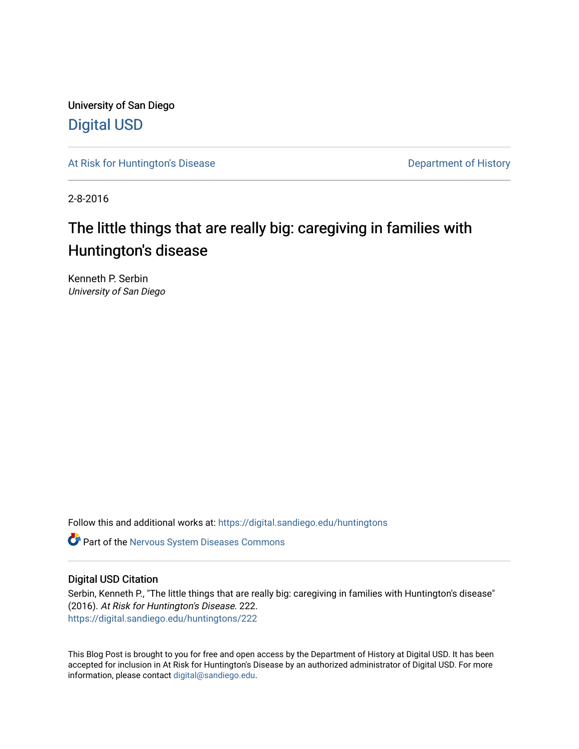University of San Diego [Digital USD](https://digital.sandiego.edu/)

[At Risk for Huntington's Disease](https://digital.sandiego.edu/huntingtons) **Department of History** Department of History

2-8-2016

# The little things that are really big: caregiving in families with Huntington's disease

Kenneth P. Serbin University of San Diego

Follow this and additional works at: [https://digital.sandiego.edu/huntingtons](https://digital.sandiego.edu/huntingtons?utm_source=digital.sandiego.edu%2Fhuntingtons%2F222&utm_medium=PDF&utm_campaign=PDFCoverPages)

**C** Part of the [Nervous System Diseases Commons](http://network.bepress.com/hgg/discipline/928?utm_source=digital.sandiego.edu%2Fhuntingtons%2F222&utm_medium=PDF&utm_campaign=PDFCoverPages)

## Digital USD Citation

Serbin, Kenneth P., "The little things that are really big: caregiving in families with Huntington's disease" (2016). At Risk for Huntington's Disease. 222. [https://digital.sandiego.edu/huntingtons/222](https://digital.sandiego.edu/huntingtons/222?utm_source=digital.sandiego.edu%2Fhuntingtons%2F222&utm_medium=PDF&utm_campaign=PDFCoverPages)

This Blog Post is brought to you for free and open access by the Department of History at Digital USD. It has been accepted for inclusion in At Risk for Huntington's Disease by an authorized administrator of Digital USD. For more information, please contact [digital@sandiego.edu.](mailto:digital@sandiego.edu)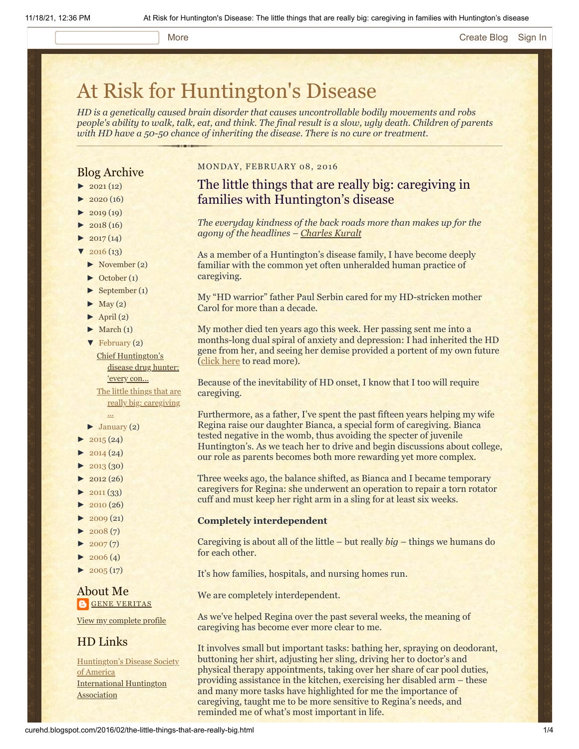#### More **[Create Blog](https://www.blogger.com/home#create) [Sign In](https://www.blogger.com/)**

# [At Risk for Huntington's Disease](http://curehd.blogspot.com/)

*HD is a genetically caused brain disorder that causes uncontrollable bodily movements and robs people's ability to walk, talk, eat, and think. The final result is a slow, ugly death. Children of parents with HD have a 50-50 chance of inheriting the disease. There is no cure or treatment.*

### Blog Archive

- $\blacktriangleright$  [2021](http://curehd.blogspot.com/2021/) (12)
- $2020(16)$  $2020(16)$
- $2019(19)$  $2019(19)$
- $\blacktriangleright$  [2018](http://curehd.blogspot.com/2018/) (16)
- $2017(14)$  $2017(14)$
- $2016(13)$  $2016(13)$
- [►](javascript:void(0)) [November](http://curehd.blogspot.com/2016/11/) (2)
- [►](javascript:void(0)) [October](http://curehd.blogspot.com/2016/10/) (1)
- [►](javascript:void(0)) [September](http://curehd.blogspot.com/2016/09/) (1)
- $\blacktriangleright$  [May](http://curehd.blogspot.com/2016/05/) (2)
- $\blacktriangleright$  [April](http://curehd.blogspot.com/2016/04/) (2)
- $\blacktriangleright$  [March](http://curehd.blogspot.com/2016/03/) (1)
- [▼](javascript:void(0)) [February](http://curehd.blogspot.com/2016/02/) (2)
	- Chief [Huntington's](http://curehd.blogspot.com/2016/02/chief-huntingtons-disease-drug-hunter.html) disease drug hunter: 'every con... The little things that are really big: [caregiving](http://curehd.blogspot.com/2016/02/the-little-things-that-are-really-big.html)
- ...  $\blacktriangleright$  [January](http://curehd.blogspot.com/2016/01/) (2)
- $2015(24)$  $2015(24)$
- $2014(24)$  $2014(24)$
- $-2013(30)$  $-2013(30)$  $-2013(30)$
- $\blacktriangleright$  [2012](http://curehd.blogspot.com/2012/) (26)
- $\blacktriangleright$  [2011](http://curehd.blogspot.com/2011/) (33)
- [►](javascript:void(0)) [2010](http://curehd.blogspot.com/2010/) (26)
- $\blacktriangleright$  [2009](http://curehd.blogspot.com/2009/) (21)
- $\blacktriangleright$  [2008](http://curehd.blogspot.com/2008/) $(7)$
- $\blacktriangleright$  [2007](http://curehd.blogspot.com/2007/) $(7)$
- $\blacktriangleright$  [2006](http://curehd.blogspot.com/2006/) (4)
- $\blacktriangleright$  [2005](http://curehd.blogspot.com/2005/) (17)

# About Me **GENE [VERITAS](https://www.blogger.com/profile/10911736205741688185)**

View my [complete](https://www.blogger.com/profile/10911736205741688185) profile

# HD Links

[Huntington's](http://www.hdsa.org/) Disease Society of America [International](http://www.huntington-assoc.com/) Huntington **Association** 

#### MONDAY, FEBRUARY 08, 2016

# The little things that are really big: caregiving in families with Huntington's disease

*The everyday kindness of the back roads more than makes up for the agony of the headlines – [Charles Kuralt](http://www.biography.com/people/charles-kuralt-9370166)*

As a member of a Huntington's disease family, I have become deeply familiar with the common yet often unheralded human practice of caregiving.

My "HD warrior" father Paul Serbin cared for my HD-stricken mother Carol for more than a decade.

My mother died ten years ago this week. Her passing sent me into a months-long dual spiral of anxiety and depression: I had inherited the HD gene from her, and seeing her demise provided a portent of my own future ([click here](http://curehd.blogspot.com/2006/10/mourning-mom.html) to read more).

Because of the inevitability of HD onset, I know that I too will require caregiving.

Furthermore, as a father, I've spent the past fifteen years helping my wife Regina raise our daughter Bianca, a special form of caregiving. Bianca tested negative in the womb, thus avoiding the specter of juvenile Huntington's. As we teach her to drive and begin discussions about college, our role as parents becomes both more rewarding yet more complex.

Three weeks ago, the balance shifted, as Bianca and I became temporary caregivers for Regina: she underwent an operation to repair a torn rotator cuff and must keep her right arm in a sling for at least six weeks.

#### **Completely interdependent**

Caregiving is about all of the little – but really *big* – things we humans do for each other.

It's how families, hospitals, and nursing homes run.

We are completely interdependent.

As we've helped Regina over the past several weeks, the meaning of caregiving has become ever more clear to me.

It involves small but important tasks: bathing her, spraying on deodorant, buttoning her shirt, adjusting her sling, driving her to doctor's and physical therapy appointments, taking over her share of car pool duties, providing assistance in the kitchen, exercising her disabled arm – these and many more tasks have highlighted for me the importance of caregiving, taught me to be more sensitive to Regina's needs, and reminded me of what's most important in life.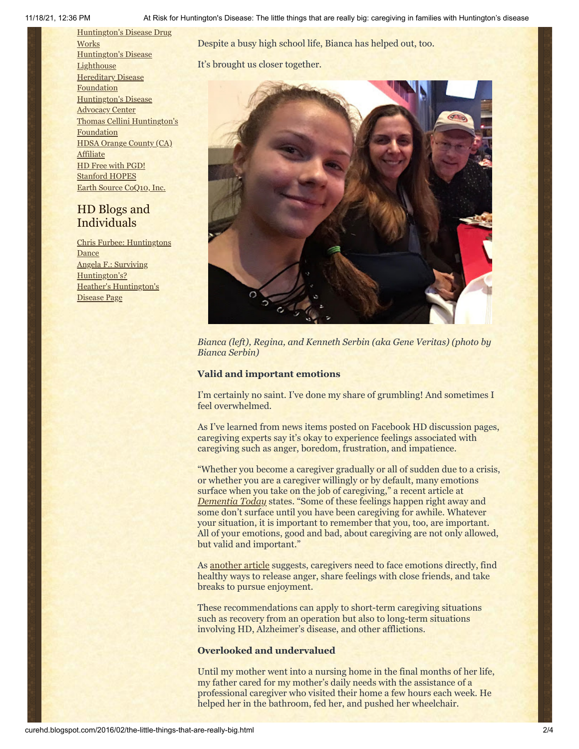[Huntington's](http://hddrugworks.org/) Disease Drug **Works** [Huntington's](http://www.hdlighthouse.org/) Disease **Lighthouse Hereditary Disease [Foundation](http://www.hdfoundation.org/)** [Huntington's](http://www.hdac.org/) Disease Advocacy Center Thomas [Cellini Huntington's](http://www.ourtchfoundation.org/) Foundation HDSA Orange County (CA) [Affiliate](http://www.hdsaoc.org/) HD Free with [PGD!](http://www.hdfreewithpgd.com/) [Stanford](http://www.stanford.edu/group/hopes/) HOPES Earth Source [CoQ10,](http://www.escoq10.com/) Inc.

# HD Blogs and Individuals

Chris Furbee: [Huntingtons](http://www.huntingtonsdance.org/) **Dance** Angela F.: Surviving [Huntington's?](http://survivinghuntingtons.blogspot.com/) Heather's [Huntington's](http://heatherdugdale.angelfire.com/) Disease Page

Despite a busy high school life, Bianca has helped out, too.

It's brought us closer together.



*Bianca (left), Regina, and Kenneth Serbin (aka Gene Veritas) (photo by Bianca Serbin)*

#### **Valid and important emotions**

I'm certainly no saint. I've done my share of grumbling! And sometimes I feel overwhelmed.

As I've learned from news items posted on Facebook HD discussion pages, caregiving experts say it's okay to experience feelings associated with caregiving such as anger, boredom, frustration, and impatience.

"Whether you become a caregiver gradually or all of sudden due to a crisis, or whether you are a caregiver willingly or by default, many emotions surface when you take on the job of caregiving," a recent article at *[Dementia Today](http://www.dementiatoday.com/the-emotional-side-of-caregiving/)* states. "Some of these feelings happen right away and some don't surface until you have been caregiving for awhile. Whatever your situation, it is important to remember that you, too, are important. All of your emotions, good and bad, about caregiving are not only allowed, but valid and important."

As [another article](http://www.scnews.com/theme_pages/senior_scene/article_c1cf6af8-bed3-11e5-b883-637576f5fb04.html) suggests, caregivers need to face emotions directly, find healthy ways to release anger, share feelings with close friends, and take breaks to pursue enjoyment.

These recommendations can apply to short-term caregiving situations such as recovery from an operation but also to long-term situations involving HD, Alzheimer's disease, and other afflictions.

### **Overlooked and undervalued**

Until my mother went into a nursing home in the final months of her life, my father cared for my mother's daily needs with the assistance of a professional caregiver who visited their home a few hours each week. He helped her in the bathroom, fed her, and pushed her wheelchair.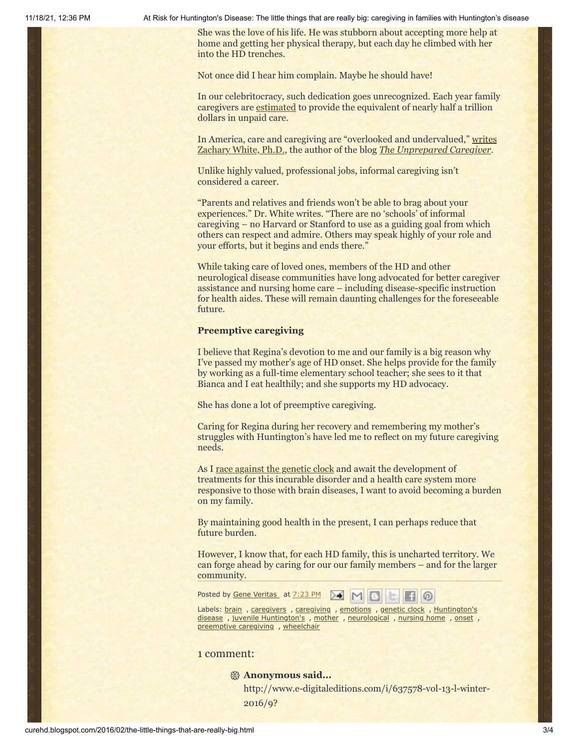11/18/21, 12:36 PM At Risk for Huntington's Disease: The little things that are really big: caregiving in families with Huntington's disease

She was the love of his life. He was stubborn about accepting more help at home and getting her physical therapy, but each day he climbed with her into the HD trenches.

Not once did I hear him complain. Maybe he should have!

In our celebritocracy, such dedication goes unrecognized. Each year family caregivers are [estimated](http://www.scnews.com/theme_pages/senior_scene/article_c1cf6af8-bed3-11e5-b883-637576f5fb04.html) to provide the equivalent of nearly half a trillion dollars in unpaid care.

In America, care [and caregiving are "overlooked and undervalued,"](http://thecaregivernetwork.ca/caregiving-gets-little-attention/) writes Zachary White, Ph.D., the author of the blog *[The Unprepared Caregiver](http://www.unpreparedcaregiver.com/)*.

Unlike highly valued, professional jobs, informal caregiving isn't considered a career.

"Parents and relatives and friends won't be able to brag about your experiences." Dr. White writes. "There are no 'schools' of informal caregiving – no Harvard or Stanford to use as a guiding goal from which others can respect and admire. Others may speak highly of your role and your efforts, but it begins and ends there."

While taking care of loved ones, members of the HD and other neurological disease communities have long advocated for better caregiver assistance and nursing home care – including disease-specific instruction for health aides. These will remain daunting challenges for the foreseeable future.

#### **Preemptive caregiving**

I believe that Regina's devotion to me and our family is a big reason why I've passed my mother's age of HD onset. She helps provide for the family by working as a full-time elementary school teacher; she sees to it that Bianca and I eat healthily; and she supports my HD advocacy.

She has done a lot of preemptive caregiving.

Caring for Regina during her recovery and remembering my mother's struggles with Huntington's have led me to reflect on my future caregiving needs.

As I <u>race against the genetic clock</u> and await the development of treatments for this incurable disorder and a health care system more responsive to those with brain diseases, I want to avoid becoming a burden on my family.

By maintaining good health in the present, I can perhaps reduce that future burden.

However, I know that, for each HD family, this is uncharted territory. We can forge ahead by caring for our our family members – and for the larger community.

Posted by Gene [Veritas](https://www.blogger.com/profile/03599828959793084715) at [7:23](http://curehd.blogspot.com/2016/02/the-little-things-that-are-really-big.html) PM  $> 1$  $\circ$ 

Labels: [brain](http://curehd.blogspot.com/search/label/brain) , [caregivers](http://curehd.blogspot.com/search/label/caregivers) , [caregiving](http://curehd.blogspot.com/search/label/caregiving) , [emotions](http://curehd.blogspot.com/search/label/emotions) , [genetic](http://curehd.blogspot.com/search/label/genetic%20clock) clock , Huntington's disease, juvenile [Huntington's](http://curehd.blogspot.com/search/label/Huntington%27s%20disease), [mother](http://curehd.blogspot.com/search/label/mother), [neurological](http://curehd.blogspot.com/search/label/neurological), [nursing](http://curehd.blogspot.com/search/label/nursing%20home) home, [onset](http://curehd.blogspot.com/search/label/onset), [preemptive](http://curehd.blogspot.com/search/label/preemptive%20caregiving) caregiving , [wheelchair](http://curehd.blogspot.com/search/label/wheelchair)

### 1 comment:

#### **Anonymous said...**

http://www.e-digitaleditions.com/i/637578-vol-13-l-winter-2016/9?